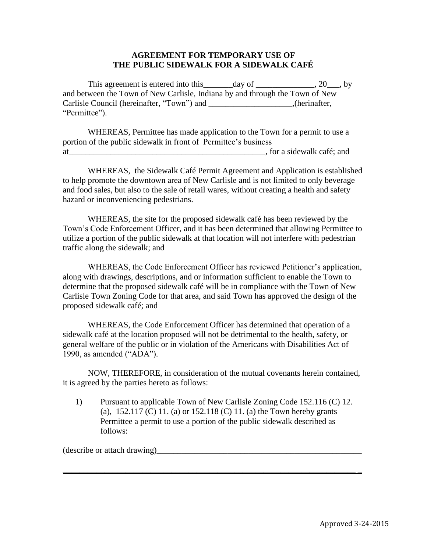## **AGREEMENT FOR TEMPORARY USE OF THE PUBLIC SIDEWALK FOR A SIDEWALK CAFÉ**

This agreement is entered into this \_\_\_\_\_\_\_day of \_\_\_\_\_\_\_\_\_\_\_\_, 20\_\_\_, by and between the Town of New Carlisle, Indiana by and through the Town of New Carlisle Council (hereinafter, "Town") and \_\_\_\_\_\_\_\_\_\_\_\_\_\_\_\_\_\_\_,(herinafter, "Permittee").

WHEREAS, Permittee has made application to the Town for a permit to use a portion of the public sidewalk in front of Permittee's business at the contract of the contract of the contract of the contract of the contract of the contract of the contract of the contract of the contract of the contract of the contract of the contract of the contract of the contrac

WHEREAS, the Sidewalk Café Permit Agreement and Application is established to help promote the downtown area of New Carlisle and is not limited to only beverage and food sales, but also to the sale of retail wares, without creating a health and safety hazard or inconveniencing pedestrians.

WHEREAS, the site for the proposed sidewalk café has been reviewed by the Town's Code Enforcement Officer, and it has been determined that allowing Permittee to utilize a portion of the public sidewalk at that location will not interfere with pedestrian traffic along the sidewalk; and

WHEREAS, the Code Enforcement Officer has reviewed Petitioner's application, along with drawings, descriptions, and or information sufficient to enable the Town to determine that the proposed sidewalk café will be in compliance with the Town of New Carlisle Town Zoning Code for that area, and said Town has approved the design of the proposed sidewalk café; and

WHEREAS, the Code Enforcement Officer has determined that operation of a sidewalk café at the location proposed will not be detrimental to the health, safety, or general welfare of the public or in violation of the Americans with Disabilities Act of 1990, as amended ("ADA").

NOW, THEREFORE, in consideration of the mutual covenants herein contained, it is agreed by the parties hereto as follows:

1) Pursuant to applicable Town of New Carlisle Zoning Code 152.116 (C) 12. (a), 152.117 (C) 11. (a) or 152.118 (C) 11. (a) the Town hereby grants Permittee a permit to use a portion of the public sidewalk described as follows:

\_\_\_\_\_\_\_\_\_\_\_\_\_\_\_\_\_\_\_\_\_\_\_\_\_\_\_\_\_\_\_\_\_\_\_\_\_\_\_\_\_\_\_\_\_\_\_\_\_\_\_\_\_\_\_\_\_\_\_\_\_\_\_\_\_\_\_\_\_\_ \_

(describe or attach drawing)\_\_\_\_\_\_\_\_\_\_\_\_\_\_\_\_\_\_\_\_\_\_\_\_\_\_\_\_\_\_\_\_\_\_\_\_\_\_\_\_\_\_\_\_\_\_\_\_\_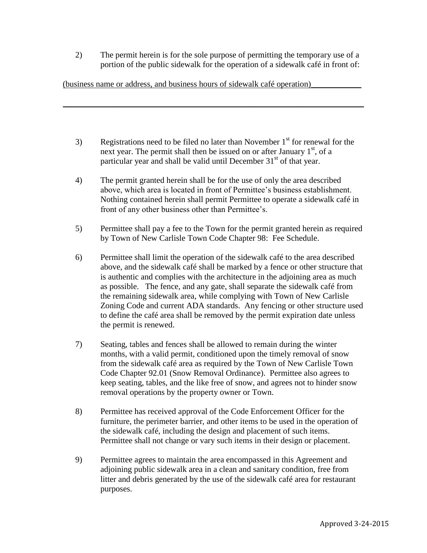2) The permit herein is for the sole purpose of permitting the temporary use of a portion of the public sidewalk for the operation of a sidewalk café in front of:

(business name or address, and business hours of sidewalk café operation)\_\_\_\_\_\_\_\_\_\_\_\_

3) Registrations need to be filed no later than November  $1<sup>st</sup>$  for renewal for the next year. The permit shall then be issued on or after January  $1<sup>st</sup>$ , of a particular year and shall be valid until December  $31<sup>st</sup>$  of that year.

 $\_$  , and the set of the set of the set of the set of the set of the set of the set of the set of the set of the set of the set of the set of the set of the set of the set of the set of the set of the set of the set of th

- 4) The permit granted herein shall be for the use of only the area described above, which area is located in front of Permittee's business establishment. Nothing contained herein shall permit Permittee to operate a sidewalk café in front of any other business other than Permittee's.
- 5) Permittee shall pay a fee to the Town for the permit granted herein as required by Town of New Carlisle Town Code Chapter 98: Fee Schedule.
- 6) Permittee shall limit the operation of the sidewalk café to the area described above, and the sidewalk café shall be marked by a fence or other structure that is authentic and complies with the architecture in the adjoining area as much as possible. The fence, and any gate, shall separate the sidewalk café from the remaining sidewalk area, while complying with Town of New Carlisle Zoning Code and current ADA standards. Any fencing or other structure used to define the café area shall be removed by the permit expiration date unless the permit is renewed.
- 7) Seating, tables and fences shall be allowed to remain during the winter months, with a valid permit, conditioned upon the timely removal of snow from the sidewalk café area as required by the Town of New Carlisle Town Code Chapter 92.01 (Snow Removal Ordinance). Permittee also agrees to keep seating, tables, and the like free of snow, and agrees not to hinder snow removal operations by the property owner or Town.
- 8) Permittee has received approval of the Code Enforcement Officer for the furniture, the perimeter barrier, and other items to be used in the operation of the sidewalk café, including the design and placement of such items. Permittee shall not change or vary such items in their design or placement.
- 9) Permittee agrees to maintain the area encompassed in this Agreement and adjoining public sidewalk area in a clean and sanitary condition, free from litter and debris generated by the use of the sidewalk café area for restaurant purposes.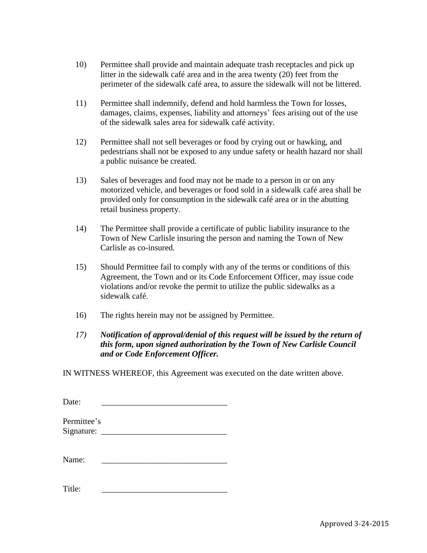- 10) Permittee shall provide and maintain adequate trash receptacles and pick up litter in the sidewalk café area and in the area twenty (20) feet from the perimeter of the sidewalk café area, to assure the sidewalk will not be littered.
- 11) Permittee shall indemnify, defend and hold harmless the Town for losses, damages, claims, expenses, liability and attorneys' fees arising out of the use of the sidewalk sales area for sidewalk café activity.
- 12) Permittee shall not sell beverages or food by crying out or hawking, and pedestrians shall not be exposed to any undue safety or health hazard nor shall a public nuisance be created.
- 13) Sales of beverages and food may not be made to a person in or on any motorized vehicle, and beverages or food sold in a sidewalk café area shall be provided only for consumption in the sidewalk café area or in the abutting retail business property.
- 14) The Permittee shall provide a certificate of public liability insurance to the Town of New Carlisle insuring the person and naming the Town of New Carlisle as co-insured.
- 15) Should Permittee fail to comply with any of the terms or conditions of this Agreement, the Town and or its Code Enforcement Officer, may issue code violations and/or revoke the permit to utilize the public sidewalks as a sidewalk café.
- 16) The rights herein may not be assigned by Permittee.
- *17) Notification of approval/denial of this request will be issued by the return of this form, upon signed authorization by the Town of New Carlisle Council and or Code Enforcement Officer.*

IN WITNESS WHEREOF, this Agreement was executed on the date written above.

| Date:                     |  |  |
|---------------------------|--|--|
| Permittee's<br>Signature: |  |  |

Name:

Title: \_\_\_\_\_\_\_\_\_\_\_\_\_\_\_\_\_\_\_\_\_\_\_\_\_\_\_\_\_\_